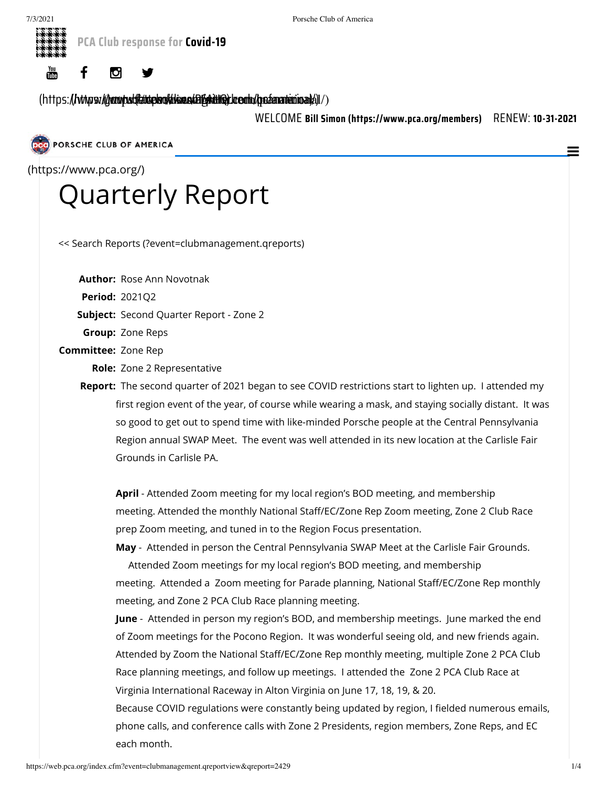



[\(https:](https://www.instagram.com/pcanational/)//www.yout**ten.com/discom/kimaling/kom/pcanational**/)/)

WELCOME **Bill Simon [\(https://www.pca.org/members\)](https://www.pca.org/members)** RENEW: **10-31-2021**

PORSCHE CLUB OF AMERICA

(https://www.pca.org/)

## [Quarterly](https://www.pca.org/) Report

[<< Search Reports \(?event=clubmanagement.qreports\)](https://web.pca.org/index.cfm?event=clubmanagement.qreports)

**Author:** Rose Ann Novotnak

**Period:** 2021Q2

**Subject:** Second Quarter Report - Zone 2

**Group:** Zone Reps

**Committee:** Zone Rep

**Role:** Zone 2 Representative

**Report:** The second quarter of 2021 began to see COVID restrictions start to lighten up. I attended my first region event of the year, of course while wearing a mask, and staying socially distant. It was so good to get out to spend time with like-minded Porsche people at the Central Pennsylvania Region annual SWAP Meet. The event was well attended in its new location at the Carlisle Fair Grounds in Carlisle PA.

**April** - Attended Zoom meeting for my local region's BOD meeting, and membership meeting. Attended the monthly National Staff/EC/Zone Rep Zoom meeting, Zone 2 Club Race prep Zoom meeting, and tuned in to the Region Focus presentation.

**May** - Attended in person the Central Pennsylvania SWAP Meet at the Carlisle Fair Grounds.

 Attended Zoom meetings for my local region's BOD meeting, and membership meeting. Attended a Zoom meeting for Parade planning, National Staff/EC/Zone Rep monthly meeting, and Zone 2 PCA Club Race planning meeting.

**June** - Attended in person my region's BOD, and membership meetings. June marked the end of Zoom meetings for the Pocono Region. It was wonderful seeing old, and new friends again. Attended by Zoom the National Staff/EC/Zone Rep monthly meeting, multiple Zone 2 PCA Club Race planning meetings, and follow up meetings. I attended the Zone 2 PCA Club Race at Virginia International Raceway in Alton Virginia on June 17, 18, 19, & 20.

Because COVID regulations were constantly being updated by region, I fielded numerous emails, phone calls, and conference calls with Zone 2 Presidents, region members, Zone Reps, and EC each month.

 $\equiv$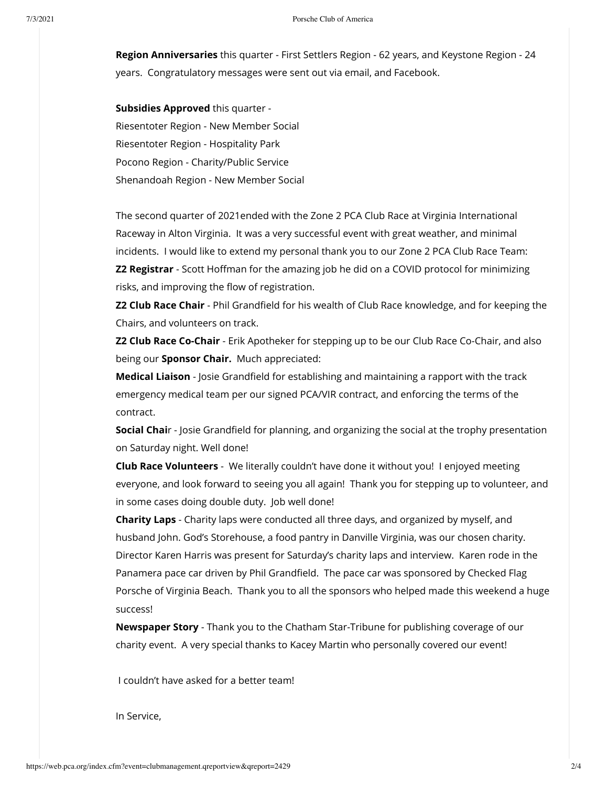**Region Anniversaries** this quarter - First Settlers Region - 62 years, and Keystone Region - 24 years. Congratulatory messages were sent out via email, and Facebook.

**Subsidies Approved** this quarter - Riesentoter Region - New Member Social Riesentoter Region - Hospitality Park Pocono Region - Charity/Public Service Shenandoah Region - New Member Social

The second quarter of 2021ended with the Zone 2 PCA Club Race at Virginia International Raceway in Alton Virginia. It was a very successful event with great weather, and minimal incidents. I would like to extend my personal thank you to our Zone 2 PCA Club Race Team: **Z2 Registrar** - Scott Hoffman for the amazing job he did on a COVID protocol for minimizing risks, and improving the flow of registration.

**Z2 Club Race Chair** - Phil Grandfield for his wealth of Club Race knowledge, and for keeping the Chairs, and volunteers on track.

**Z2 Club Race Co-Chair** - Erik Apotheker for stepping up to be our Club Race Co-Chair, and also being our **Sponsor Chair.** Much appreciated:

**Medical Liaison** - Josie Grandfield for establishing and maintaining a rapport with the track emergency medical team per our signed PCA/VIR contract, and enforcing the terms of the contract.

**Social Chai**r - Josie Grandfield for planning, and organizing the social at the trophy presentation on Saturday night. Well done!

**Club Race Volunteers** - We literally couldn't have done it without you! I enjoyed meeting everyone, and look forward to seeing you all again! Thank you for stepping up to volunteer, and in some cases doing double duty. Job well done!

**Charity Laps** - Charity laps were conducted all three days, and organized by myself, and husband John. God's Storehouse, a food pantry in Danville Virginia, was our chosen charity. Director Karen Harris was present for Saturday's charity laps and interview. Karen rode in the Panamera pace car driven by Phil Grandfield. The pace car was sponsored by Checked Flag Porsche of Virginia Beach. Thank you to all the sponsors who helped made this weekend a huge success!

**Newspaper Story** - Thank you to the Chatham Star-Tribune for publishing coverage of our charity event. A very special thanks to Kacey Martin who personally covered our event!

I couldn't have asked for a better team!

In Service,